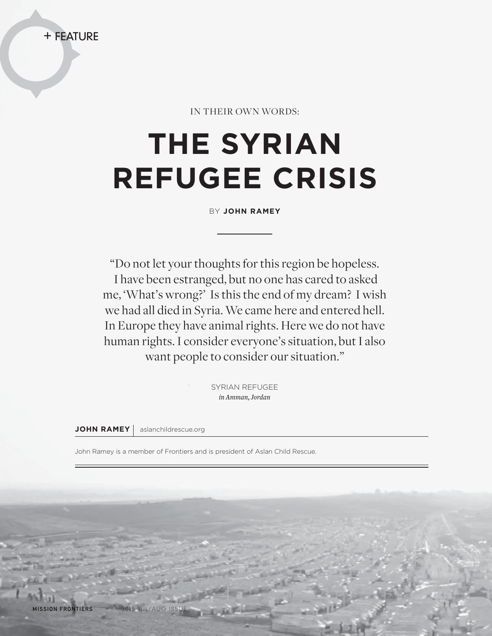

IN THEIR OWN WORDS:

## **THE SYRIAN REFUGEE CRISIS**

BY **JOHN RAMEY**

"Do not let your thoughts for this region be hopeless. I have been estranged, but no one has cared to asked me, 'What's wrong?' Is this the end of my dream? I wish we had all died in Syria. We came here and entered hell. In Europe they have animal rights. Here we do not have human rights. I consider everyone's situation, but I also want people to consider our situation."

> SYRIAN REFUGEE *in Amman, Jordan*

**JOHN RAMEY** | aslanchildrescue.org

John Ramey is a member of Frontiers and is president of Aslan Child Rescue.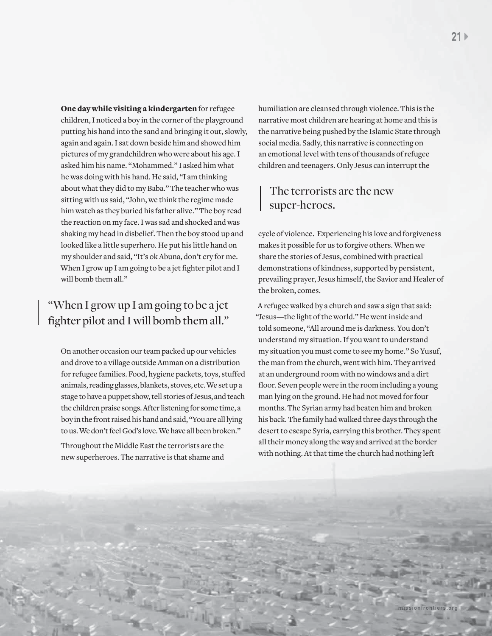One day while visiting a kindergarten for refugee children, I noticed a boy in the corner of the playground putting his hand into the sand and bringing it out, slowly, again and again. I sat down beside him and showed him pictures of my grandchildren who were about his age. I asked him his name. "Mohammed." I asked him what he was doing with his hand. He said, "I am thinking about what they did to my Baba." The teacher who was sitting with us said, "John, we think the regime made him watch as they buried his father alive." The boy read the reaction on my face. I was sad and shocked and was shaking my head in disbelief. Then the boy stood up and looked like a little superhero. He put his little hand on my shoulder and said, "It's ok Abuna, don't cry for me. When I grow up I am going to be a jet fighter pilot and I will bomb them all."

## "When I grow up I am going to be a jet fighter pilot and I will bomb them all."

On another occasion our team packed up our vehicles and drove to a village outside Amman on a distribution for refugee families. Food, hygiene packets, toys, stuffed animals, reading glasses, blankets, stoves, etc. We set up a stage to have a puppet show, tell stories of Jesus, and teach the children praise songs. After listening for some time, a boy in the front raised his hand and said, "You are all lying to us. We don't feel God's love. We have all been broken."

Throughout the Middle East the terrorists are the new superheroes. The narrative is that shame and humiliation are cleansed through violence. This is the narrative most children are hearing at home and this is the narrative being pushed by the Islamic State through social media. Sadly, this narrative is connecting on an emotional level with tens of thousands of refugee children and teenagers. Only Jesus can interrupt the

## The terrorists are the new super-heroes.

cycle of violence. Experiencing his love and forgiveness makes it possible for us to forgive others. When we share the stories of Jesus, combined with practical demonstrations of kindness, supported by persistent, prevailing prayer, Jesus himself, the Savior and Healer of the broken, comes.

A refugee walked by a church and saw a sign that said: "Jesus—the light of the world." He went inside and told someone, "All around me is darkness. You don't understand my situation. If you want to understand my situation you must come to see my home." So Yusuf, the man from the church, went with him. They arrived at an underground room with no windows and a dirt floor. Seven people were in the room including a young man lying on the ground. He had not moved for four months. The Syrian army had beaten him and broken his back. The family had walked three days through the desert to escape Syria, carrying this brother. They spent all their money along the way and arrived at the border with nothing. At that time the church had nothing left